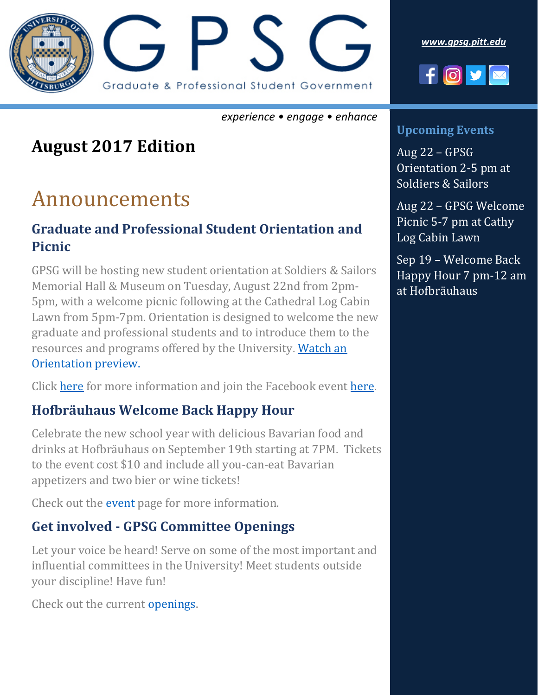

*experience • engage • enhance*

### **August 2017 Edition**

## Announcements

### **Graduate and Professional Student Orientation and Picnic**

GPSG will be hosting new student orientation at Soldiers & Sailors Memorial Hall & Museum on Tuesday, August 22nd from 2pm-5pm, with a welcome picnic following at the Cathedral Log Cabin Lawn from 5pm-7pm. Orientation is designed to welcome the new graduate and professional students and to introduce them to the resources and programs offered by the University. [Watch an](https://www.youtube.com/watch?v=KGZMKFdZUIY)  [Orientation preview.](https://www.youtube.com/watch?v=KGZMKFdZUIY)

Click [here](http://gpsg.pitt.edu/gpsg-orientation-2017/) for more information and join the Facebook event [here.](https://www.facebook.com/events/257168508129748/?acontext=%7B%22ref%22%3A%223%22%2C%22ref_newsfeed_story_type%22%3A%22regular%22%2C%22feed_story_type%22%3A%22117%22%2C%22action_history%22%3A%22null%22%7D)

### **Hofbräuhaus Welcome Back Happy Hour**

Celebrate the new school year with delicious Bavarian food and drinks at Hofbräuhaus on September 19th starting at 7PM. Tickets to the event cost \$10 and include all you-can-eat Bavarian appetizers and two bier or wine tickets!

Check out the [event](https://gpsgwelcome.eventbrite.com/) page for more information.

### **Get involved - GPSG Committee Openings**

Let your voice be heard! Serve on some of the most important and influential committees in the University! Meet students outside your discipline! Have fun!

Check out the current [openings.](http://gpsg.pitt.edu/openings/)

*[www.gpsg.pitt.edu](http://www.gpsg.pitt.edu/)*



#### **Upcoming Events**

Aug 22 – GPSG Orientation 2-5 pm at Soldiers & Sailors

Aug 22 – GPSG Welcome Picnic 5-7 pm at Cathy Log Cabin Lawn

Sep 19 – Welcome Back Happy Hour 7 pm-12 am at Hofbräuhaus